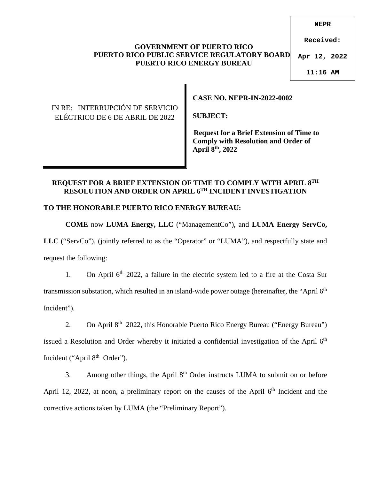#### **NEPR**

**Received:**

#### **GOVERNMENT OF PUERTO RICO PUERTO RICO PUBLIC SERVICE REGULATORY BOARD PUERTO RICO ENERGY BUREAU**

**Apr 12, 2022**

**11:16 AM**

# IN RE: INTERRUPCIÓN DE SERVICIO ELÉCTRICO DE 6 DE ABRIL DE 2022

**CASE NO. NEPR-IN-2022-0002** 

**SUBJECT:** 

 **Request for a Brief Extension of Time to Comply with Resolution and Order of April 8th, 2022** 

### **REQUEST FOR A BRIEF EXTENSION OF TIME TO COMPLY WITH APRIL 8TH RESOLUTION AND ORDER ON APRIL 6TH INCIDENT INVESTIGATION**

# **TO THE HONORABLE PUERTO RICO ENERGY BUREAU:**

**COME** now **LUMA Energy, LLC** ("ManagementCo"), and **LUMA Energy ServCo,**  LLC ("ServCo"), (jointly referred to as the "Operator" or "LUMA"), and respectfully state and request the following:

1. On April  $6<sup>th</sup>$  2022, a failure in the electric system led to a fire at the Costa Sur transmission substation, which resulted in an island-wide power outage (hereinafter, the "April 6<sup>th</sup> Incident").

2. On April 8<sup>th</sup> 2022, this Honorable Puerto Rico Energy Bureau ("Energy Bureau") issued a Resolution and Order whereby it initiated a confidential investigation of the April  $6<sup>th</sup>$ Incident ("April 8<sup>th</sup> Order").

3. Among other things, the April  $8<sup>th</sup>$  Order instructs LUMA to submit on or before April 12, 2022, at noon, a preliminary report on the causes of the April  $6<sup>th</sup>$  Incident and the corrective actions taken by LUMA (the "Preliminary Report").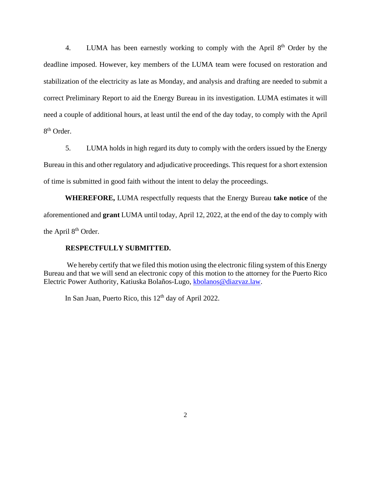4. LUMA has been earnestly working to comply with the April 8<sup>th</sup> Order by the deadline imposed. However, key members of the LUMA team were focused on restoration and stabilization of the electricity as late as Monday, and analysis and drafting are needed to submit a correct Preliminary Report to aid the Energy Bureau in its investigation. LUMA estimates it will need a couple of additional hours, at least until the end of the day today, to comply with the April 8<sup>th</sup> Order.

5. LUMA holds in high regard its duty to comply with the orders issued by the Energy Bureau in this and other regulatory and adjudicative proceedings. This request for a short extension of time is submitted in good faith without the intent to delay the proceedings.

**WHEREFORE,** LUMA respectfully requests that the Energy Bureau **take notice** of the aforementioned and **grant** LUMA until today, April 12, 2022, at the end of the day to comply with the April 8<sup>th</sup> Order.

#### **RESPECTFULLY SUBMITTED.**

We hereby certify that we filed this motion using the electronic filing system of this Energy Bureau and that we will send an electronic copy of this motion to the attorney for the Puerto Rico Electric Power Authority, Katiuska Bolaños-Lugo, [kbolanos@diazvaz.law](mailto:kbolanos@diazvaz.law).

In San Juan, Puerto Rico, this  $12<sup>th</sup>$  day of April 2022.